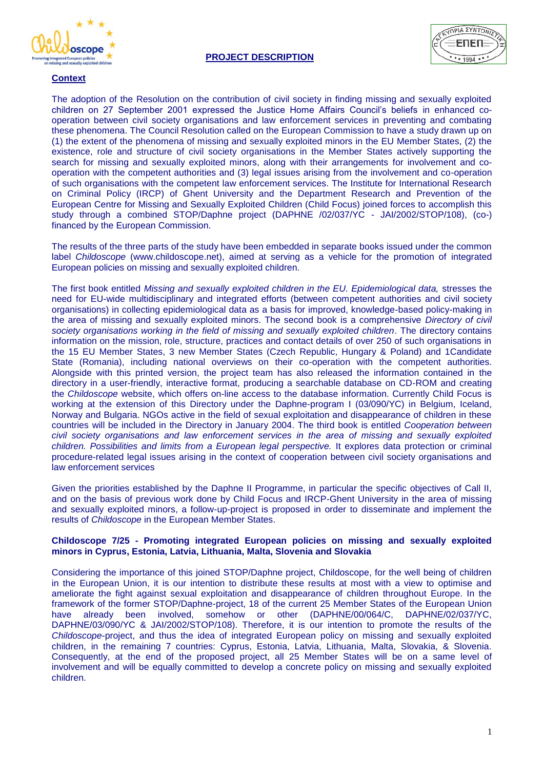



## **Context**

The adoption of the Resolution on the contribution of civil society in finding missing and sexually exploited children on 27 September 2001 expressed the Justice Home Affairs Council's beliefs in enhanced cooperation between civil society organisations and law enforcement services in preventing and combating these phenomena. The Council Resolution called on the European Commission to have a study drawn up on (1) the extent of the phenomena of missing and sexually exploited minors in the EU Member States, (2) the existence, role and structure of civil society organisations in the Member States actively supporting the search for missing and sexually exploited minors, along with their arrangements for involvement and cooperation with the competent authorities and (3) legal issues arising from the involvement and co-operation of such organisations with the competent law enforcement services. The Institute for International Research on Criminal Policy (IRCP) of Ghent University and the Department Research and Prevention of the European Centre for Missing and Sexually Exploited Children (Child Focus) joined forces to accomplish this study through a combined STOP/Daphne project (DAPHNE /02/037/YC - JAI/2002/STOP/108), (co-) financed by the European Commission.

The results of the three parts of the study have been embedded in separate books issued under the common label *Childoscope* (www.childoscope.net), aimed at serving as a vehicle for the promotion of integrated European policies on missing and sexually exploited children.

The first book entitled *Missing and sexually exploited children in the EU. Epidemiological data,* stresses the need for EU-wide multidisciplinary and integrated efforts (between competent authorities and civil society organisations) in collecting epidemiological data as a basis for improved, knowledge-based policy-making in the area of missing and sexually exploited minors. The second book is a comprehensive *Directory of civil society organisations working in the field of missing and sexually exploited children*. The directory contains information on the mission, role, structure, practices and contact details of over 250 of such organisations in the 15 EU Member States, 3 new Member States (Czech Republic, Hungary & Poland) and 1Candidate State (Romania), including national overviews on their co-operation with the competent authorities. Alongside with this printed version, the project team has also released the information contained in the directory in a user-friendly, interactive format, producing a searchable database on CD-ROM and creating the *Childoscope* website, which offers on-line access to the database information. Currently Child Focus is working at the extension of this Directory under the Daphne-program I (03/090/YC) in Belgium, Iceland, Norway and Bulgaria. NGOs active in the field of sexual exploitation and disappearance of children in these countries will be included in the Directory in January 2004. The third book is entitled *Cooperation between civil society organisations and law enforcement services in the area of missing and sexually exploited children. Possibilities and limits from a European legal perspective.* It explores data protection or criminal procedure-related legal issues arising in the context of cooperation between civil society organisations and law enforcement services

Given the priorities established by the Daphne II Programme, in particular the specific objectives of Call II, and on the basis of previous work done by Child Focus and IRCP-Ghent University in the area of missing and sexually exploited minors, a follow-up-project is proposed in order to disseminate and implement the results of *Childoscope* in the European Member States.

## **Childoscope 7/25 - Promoting integrated European policies on missing and sexually exploited minors in Cyprus, Estonia, Latvia, Lithuania, Malta, Slovenia and Slovakia**

Considering the importance of this joined STOP/Daphne project, Childoscope, for the well being of children in the European Union, it is our intention to distribute these results at most with a view to optimise and ameliorate the fight against sexual exploitation and disappearance of children throughout Europe. In the framework of the former STOP/Daphne-project, 18 of the current 25 Member States of the European Union have already been involved, somehow or other (DAPHNE/00/064/C, DAPHNE/02/037/YC, DAPHNE/03/090/YC & JAI/2002/STOP/108). Therefore, it is our intention to promote the results of the *Childoscope*-project, and thus the idea of integrated European policy on missing and sexually exploited children, in the remaining 7 countries: Cyprus, Estonia, Latvia, Lithuania, Malta, Slovakia, & Slovenia. Consequently, at the end of the proposed project, all 25 Member States will be on a same level of involvement and will be equally committed to develop a concrete policy on missing and sexually exploited children.